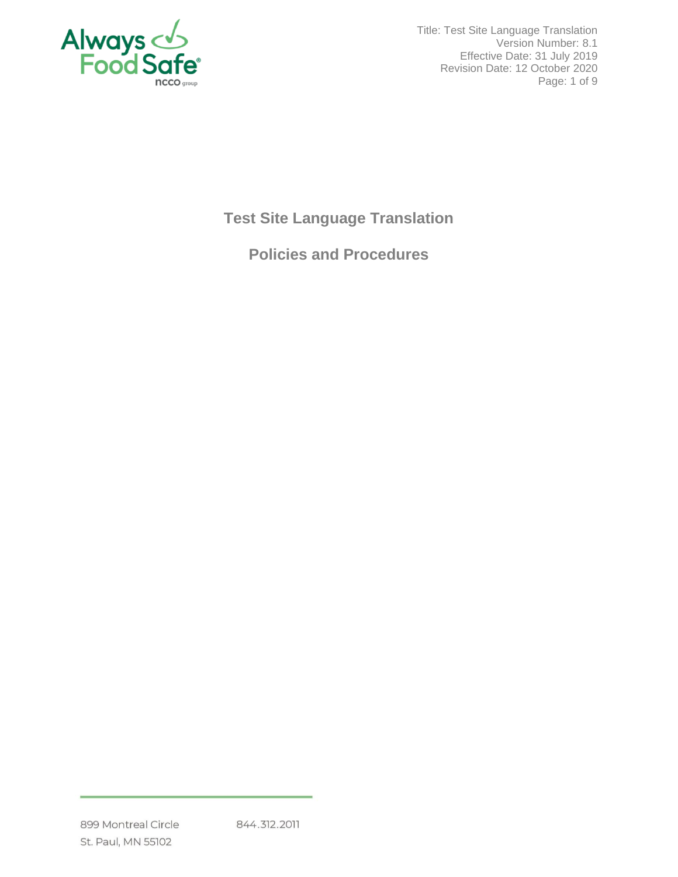

Title: Test Site Language Translation Version Number: 8.1 Effective Date: 31 July 2019 Revision Date: 12 October 2020 Page: 1 of 9

## **Test Site Language Translation**

# **Policies and Procedures**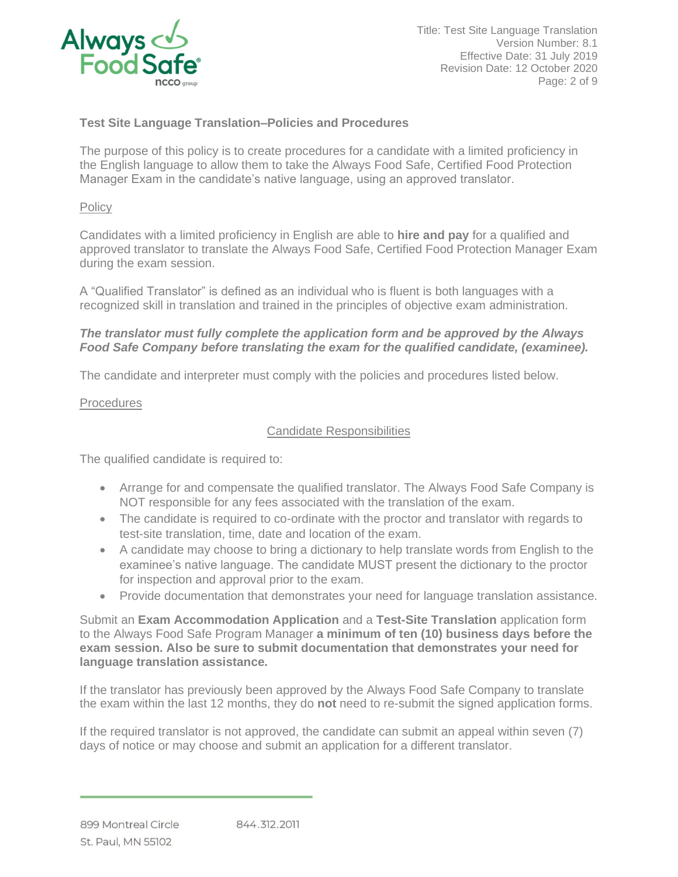

## **Test Site Language Translation–Policies and Procedures**

The purpose of this policy is to create procedures for a candidate with a limited proficiency in the English language to allow them to take the Always Food Safe, Certified Food Protection Manager Exam in the candidate's native language, using an approved translator.

#### **Policy**

Candidates with a limited proficiency in English are able to **hire and pay** for a qualified and approved translator to translate the Always Food Safe, Certified Food Protection Manager Exam during the exam session.

A "Qualified Translator" is defined as an individual who is fluent is both languages with a recognized skill in translation and trained in the principles of objective exam administration.

#### *The translator must fully complete the application form and be approved by the Always Food Safe Company before translating the exam for the qualified candidate, (examinee).*

The candidate and interpreter must comply with the policies and procedures listed below.

#### **Procedures**

#### Candidate Responsibilities

The qualified candidate is required to:

- Arrange for and compensate the qualified translator. The Always Food Safe Company is NOT responsible for any fees associated with the translation of the exam.
- The candidate is required to co-ordinate with the proctor and translator with regards to test-site translation, time, date and location of the exam.
- A candidate may choose to bring a dictionary to help translate words from English to the examinee's native language. The candidate MUST present the dictionary to the proctor for inspection and approval prior to the exam.
- Provide documentation that demonstrates your need for language translation assistance.

Submit an **Exam Accommodation Application** and a **Test-Site Translation** application form to the Always Food Safe Program Manager **a minimum of ten (10) business days before the exam session. Also be sure to submit documentation that demonstrates your need for language translation assistance.**

If the translator has previously been approved by the Always Food Safe Company to translate the exam within the last 12 months, they do **not** need to re-submit the signed application forms.

If the required translator is not approved, the candidate can submit an appeal within seven (7) days of notice or may choose and submit an application for a different translator.

899 Montreal Circle St. Paul, MN 55102

844.312.2011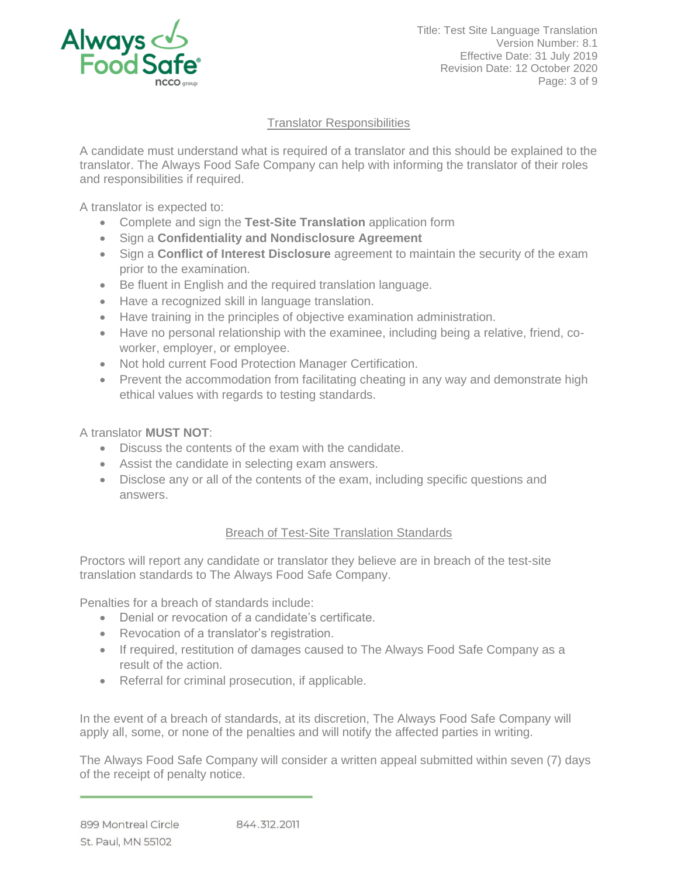

## Translator Responsibilities

A candidate must understand what is required of a translator and this should be explained to the translator. The Always Food Safe Company can help with informing the translator of their roles and responsibilities if required.

A translator is expected to:

- Complete and sign the **Test-Site Translation** application form
- Sign a **Confidentiality and Nondisclosure Agreement**
- Sign a **Conflict of Interest Disclosure** agreement to maintain the security of the exam prior to the examination.
- Be fluent in English and the required translation language.
- Have a recognized skill in language translation.
- Have training in the principles of objective examination administration.
- Have no personal relationship with the examinee, including being a relative, friend, coworker, employer, or employee.
- Not hold current Food Protection Manager Certification.
- Prevent the accommodation from facilitating cheating in any way and demonstrate high ethical values with regards to testing standards.

A translator **MUST NOT**:

- Discuss the contents of the exam with the candidate.
- Assist the candidate in selecting exam answers.
- Disclose any or all of the contents of the exam, including specific questions and answers.

## Breach of Test-Site Translation Standards

Proctors will report any candidate or translator they believe are in breach of the test-site translation standards to The Always Food Safe Company.

Penalties for a breach of standards include:

- Denial or revocation of a candidate's certificate.
- Revocation of a translator's registration.
- If required, restitution of damages caused to The Always Food Safe Company as a result of the action.
- Referral for criminal prosecution, if applicable.

In the event of a breach of standards, at its discretion, The Always Food Safe Company will apply all, some, or none of the penalties and will notify the affected parties in writing.

The Always Food Safe Company will consider a written appeal submitted within seven (7) days of the receipt of penalty notice.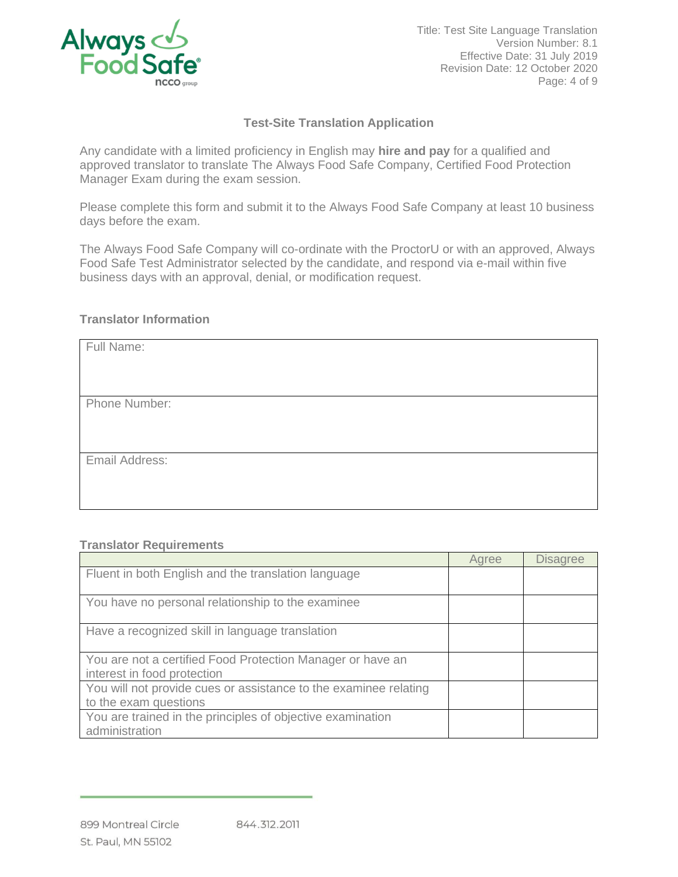

Title: Test Site Language Translation Version Number: 8.1 Effective Date: 31 July 2019 Revision Date: 12 October 2020 Page: 4 of 9

## **Test-Site Translation Application**

Any candidate with a limited proficiency in English may **hire and pay** for a qualified and approved translator to translate The Always Food Safe Company, Certified Food Protection Manager Exam during the exam session.

Please complete this form and submit it to the Always Food Safe Company at least 10 business days before the exam.

The Always Food Safe Company will co-ordinate with the ProctorU or with an approved, Always Food Safe Test Administrator selected by the candidate, and respond via e-mail within five business days with an approval, denial, or modification request.

#### **Translator Information**

| Full Name:     |  |
|----------------|--|
|                |  |
|                |  |
| Phone Number:  |  |
|                |  |
|                |  |
| Email Address: |  |
|                |  |
|                |  |

#### **Translator Requirements**

|                                                                                           | Agree | <b>Disagree</b> |
|-------------------------------------------------------------------------------------------|-------|-----------------|
| Fluent in both English and the translation language                                       |       |                 |
| You have no personal relationship to the examinee                                         |       |                 |
| Have a recognized skill in language translation                                           |       |                 |
| You are not a certified Food Protection Manager or have an<br>interest in food protection |       |                 |
| You will not provide cues or assistance to the examinee relating<br>to the exam questions |       |                 |
| You are trained in the principles of objective examination<br>administration              |       |                 |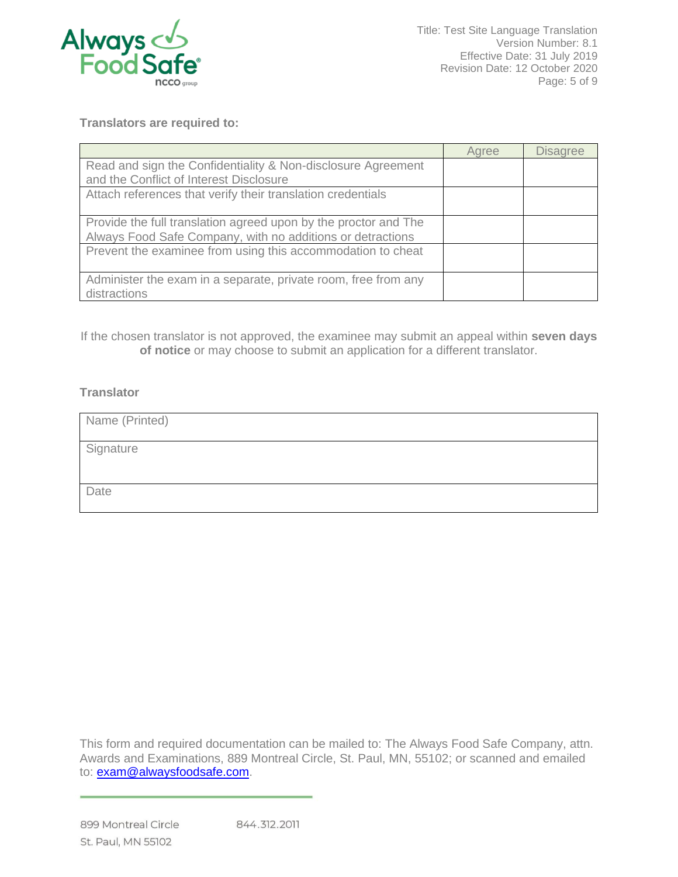

Title: Test Site Language Translation Version Number: 8.1 Effective Date: 31 July 2019 Revision Date: 12 October 2020 Page: 5 of 9

**Translators are required to:**

|                                                                                                                               | Agree | <b>Disagree</b> |
|-------------------------------------------------------------------------------------------------------------------------------|-------|-----------------|
| Read and sign the Confidentiality & Non-disclosure Agreement<br>and the Conflict of Interest Disclosure                       |       |                 |
| Attach references that verify their translation credentials                                                                   |       |                 |
| Provide the full translation agreed upon by the proctor and The<br>Always Food Safe Company, with no additions or detractions |       |                 |
| Prevent the examinee from using this accommodation to cheat                                                                   |       |                 |
| Administer the exam in a separate, private room, free from any<br>distractions                                                |       |                 |

If the chosen translator is not approved, the examinee may submit an appeal within **seven days of notice** or may choose to submit an application for a different translator.

#### **Translator**

| Name (Printed) |
|----------------|
| Signature      |
|                |
| Date           |

This form and required documentation can be mailed to: The Always Food Safe Company, attn. Awards and Examinations, 889 Montreal Circle, St. Paul, MN, 55102; or scanned and emailed to: **exam@alwaysfoodsafe.com.**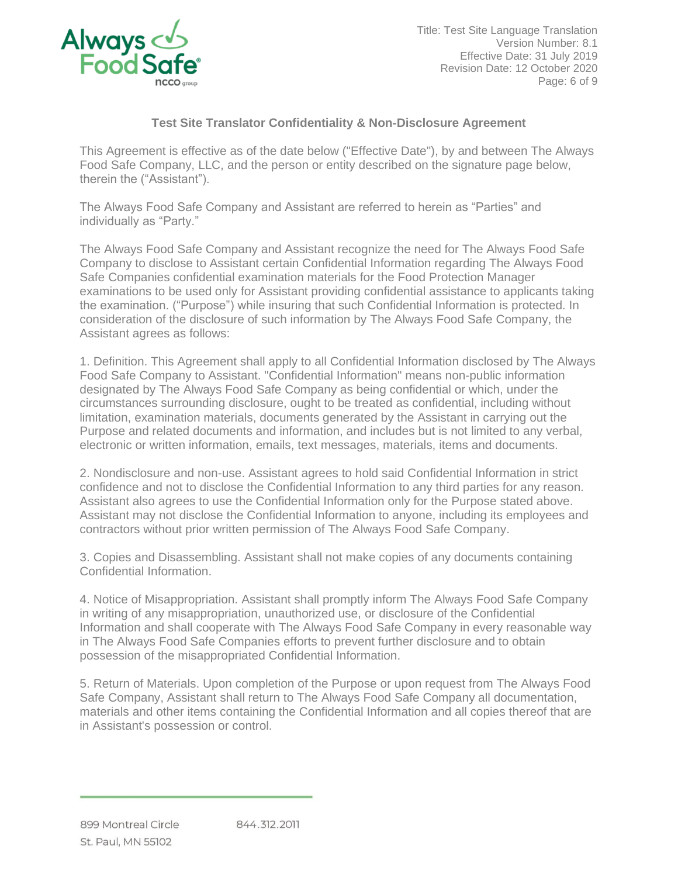

Title: Test Site Language Translation Version Number: 8.1 Effective Date: 31 July 2019 Revision Date: 12 October 2020 Page: 6 of 9

## **Test Site Translator Confidentiality & Non-Disclosure Agreement**

This Agreement is effective as of the date below ("Effective Date"), by and between The Always Food Safe Company, LLC, and the person or entity described on the signature page below, therein the ("Assistant").

The Always Food Safe Company and Assistant are referred to herein as "Parties" and individually as "Party."

The Always Food Safe Company and Assistant recognize the need for The Always Food Safe Company to disclose to Assistant certain Confidential Information regarding The Always Food Safe Companies confidential examination materials for the Food Protection Manager examinations to be used only for Assistant providing confidential assistance to applicants taking the examination. ("Purpose") while insuring that such Confidential Information is protected. In consideration of the disclosure of such information by The Always Food Safe Company, the Assistant agrees as follows:

1. Definition. This Agreement shall apply to all Confidential Information disclosed by The Always Food Safe Company to Assistant. "Confidential Information" means non-public information designated by The Always Food Safe Company as being confidential or which, under the circumstances surrounding disclosure, ought to be treated as confidential, including without limitation, examination materials, documents generated by the Assistant in carrying out the Purpose and related documents and information, and includes but is not limited to any verbal, electronic or written information, emails, text messages, materials, items and documents.

2. Nondisclosure and non-use. Assistant agrees to hold said Confidential Information in strict confidence and not to disclose the Confidential Information to any third parties for any reason. Assistant also agrees to use the Confidential Information only for the Purpose stated above. Assistant may not disclose the Confidential Information to anyone, including its employees and contractors without prior written permission of The Always Food Safe Company.

3. Copies and Disassembling. Assistant shall not make copies of any documents containing Confidential Information.

4. Notice of Misappropriation. Assistant shall promptly inform The Always Food Safe Company in writing of any misappropriation, unauthorized use, or disclosure of the Confidential Information and shall cooperate with The Always Food Safe Company in every reasonable way in The Always Food Safe Companies efforts to prevent further disclosure and to obtain possession of the misappropriated Confidential Information.

5. Return of Materials. Upon completion of the Purpose or upon request from The Always Food Safe Company, Assistant shall return to The Always Food Safe Company all documentation, materials and other items containing the Confidential Information and all copies thereof that are in Assistant's possession or control.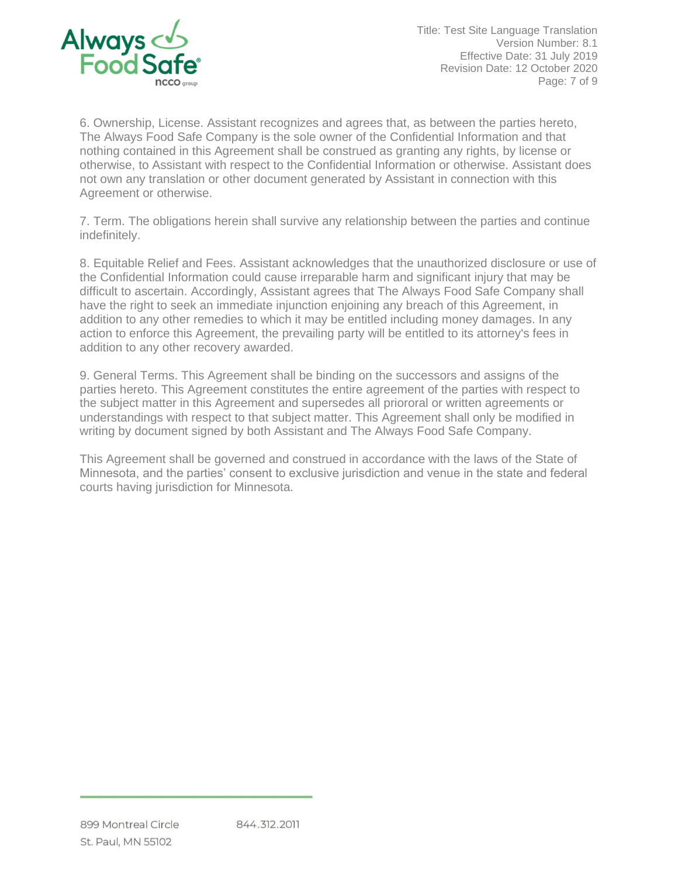

Title: Test Site Language Translation Version Number: 8.1 Effective Date: 31 July 2019 Revision Date: 12 October 2020 Page: 7 of 9

6. Ownership, License. Assistant recognizes and agrees that, as between the parties hereto, The Always Food Safe Company is the sole owner of the Confidential Information and that nothing contained in this Agreement shall be construed as granting any rights, by license or otherwise, to Assistant with respect to the Confidential Information or otherwise. Assistant does not own any translation or other document generated by Assistant in connection with this Agreement or otherwise.

7. Term. The obligations herein shall survive any relationship between the parties and continue indefinitely.

8. Equitable Relief and Fees. Assistant acknowledges that the unauthorized disclosure or use of the Confidential Information could cause irreparable harm and significant injury that may be difficult to ascertain. Accordingly, Assistant agrees that The Always Food Safe Company shall have the right to seek an immediate injunction enjoining any breach of this Agreement, in addition to any other remedies to which it may be entitled including money damages. In any action to enforce this Agreement, the prevailing party will be entitled to its attorney's fees in addition to any other recovery awarded.

9. General Terms. This Agreement shall be binding on the successors and assigns of the parties hereto. This Agreement constitutes the entire agreement of the parties with respect to the subject matter in this Agreement and supersedes all priororal or written agreements or understandings with respect to that subject matter. This Agreement shall only be modified in writing by document signed by both Assistant and The Always Food Safe Company.

This Agreement shall be governed and construed in accordance with the laws of the State of Minnesota, and the parties' consent to exclusive jurisdiction and venue in the state and federal courts having jurisdiction for Minnesota.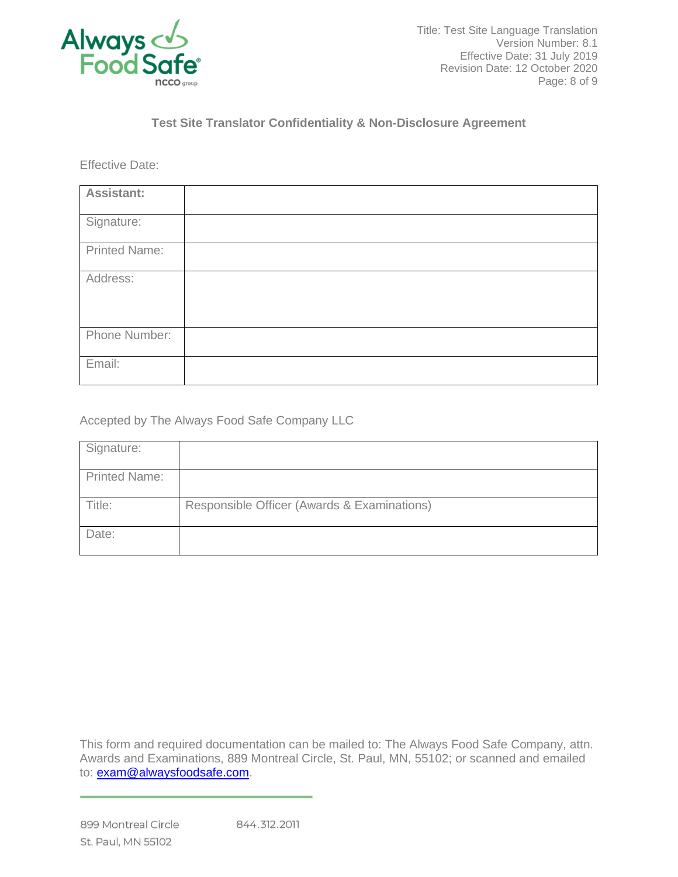

## **Test Site Translator Confidentiality & Non-Disclosure Agreement**

Effective Date:

| Assistant:           |  |
|----------------------|--|
| Signature:           |  |
| <b>Printed Name:</b> |  |
| Address:             |  |
| Phone Number:        |  |
| Email:               |  |

Accepted by The Always Food Safe Company LLC

| Signature:           |                                             |
|----------------------|---------------------------------------------|
| <b>Printed Name:</b> |                                             |
| Title:               | Responsible Officer (Awards & Examinations) |
| Date:                |                                             |

This form and required documentation can be mailed to: The Always Food Safe Company, attn. Awards and Examinations, 889 Montreal Circle, St. Paul, MN, 55102; or scanned and emailed to: **exam@alwaysfoodsafe.com.**